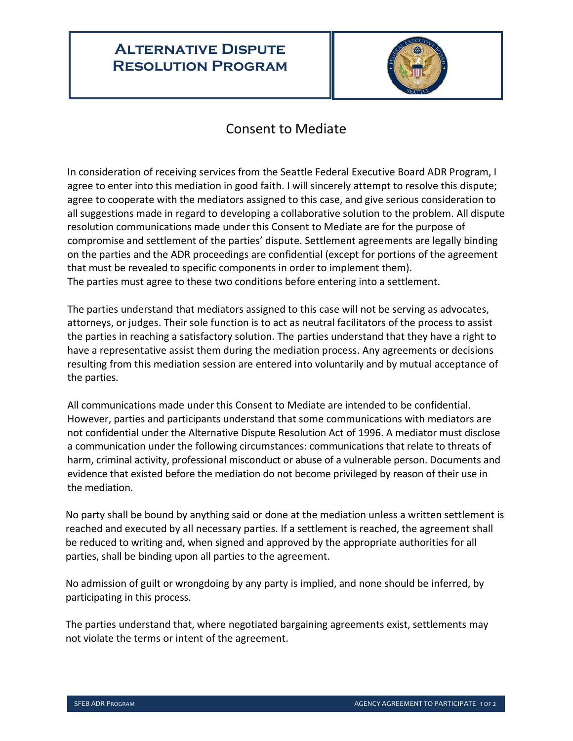## **Alternative Dispute Resolution Program**



## Consent to Mediate

In consideration of receiving services from the Seattle Federal Executive Board ADR Program, I agree to enter into this mediation in good faith. I will sincerely attempt to resolve this dispute; agree to cooperate with the mediators assigned to this case, and give serious consideration to all suggestions made in regard to developing a collaborative solution to the problem. All dispute resolution communications made under this Consent to Mediate are for the purpose of compromise and settlement of the parties' dispute. Settlement agreements are legally binding on the parties and the ADR proceedings are confidential (except for portions of the agreement that must be revealed to specific components in order to implement them). The parties must agree to these two conditions before entering into a settlement.

The parties understand that mediators assigned to this case will not be serving as advocates, attorneys, or judges. Their sole function is to act as neutral facilitators of the process to assist the parties in reaching a satisfactory solution. The parties understand that they have a right to have a representative assist them during the mediation process. Any agreements or decisions resulting from this mediation session are entered into voluntarily and by mutual acceptance of the parties.

All communications made under this Consent to Mediate are intended to be confidential. However, parties and participants understand that some communications with mediators are not confidential under the Alternative Dispute Resolution Act of 1996. A mediator must disclose a communication under the following circumstances: communications that relate to threats of harm, criminal activity, professional misconduct or abuse of a vulnerable person. Documents and evidence that existed before the mediation do not become privileged by reason of their use in the mediation.

No party shall be bound by anything said or done at the mediation unless a written settlement is reached and executed by all necessary parties. If a settlement is reached, the agreement shall be reduced to writing and, when signed and approved by the appropriate authorities for all parties, shall be binding upon all parties to the agreement.

No admission of guilt or wrongdoing by any party is implied, and none should be inferred, by participating in this process.

The parties understand that, where negotiated bargaining agreements exist, settlements may not violate the terms or intent of the agreement.